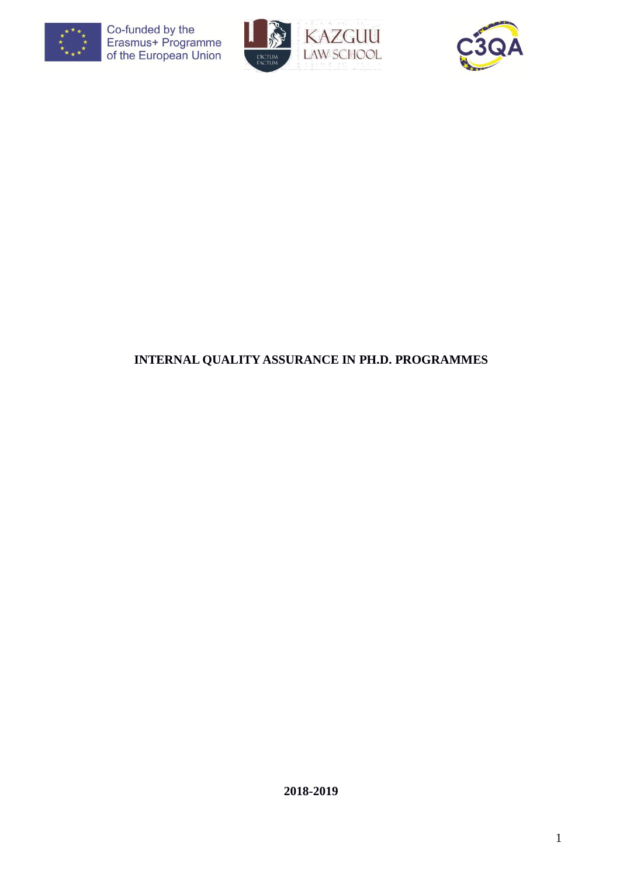





# **INTERNAL QUALITY ASSURANCE IN PH.D. PROGRAMMES**

**2018-2019**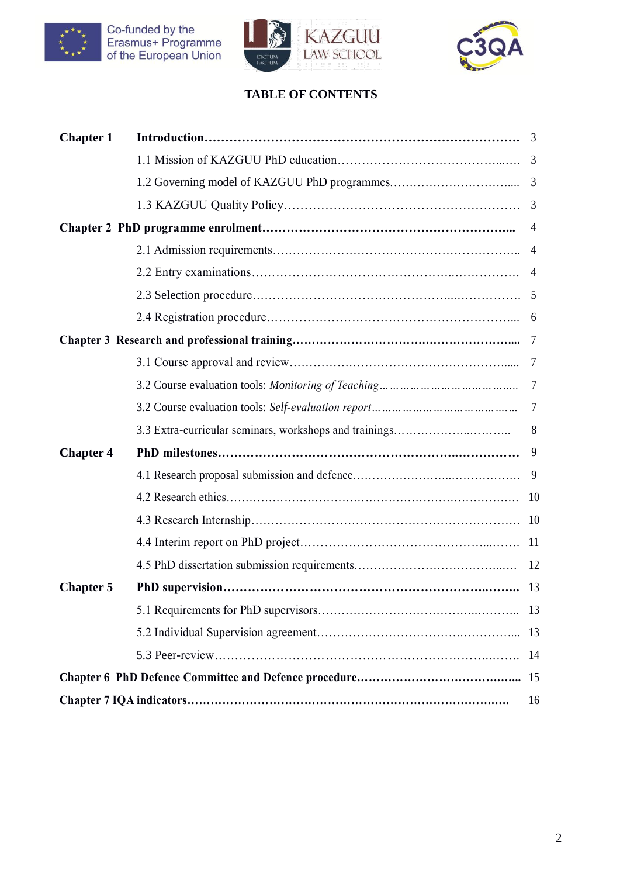





# **TABLE OF CONTENTS**

| <b>Chapter 1</b> | 3              |
|------------------|----------------|
|                  | $\overline{3}$ |
|                  | $\overline{3}$ |
|                  |                |
|                  | 4              |
|                  | 4              |
|                  | $\overline{4}$ |
|                  |                |
|                  | 6              |
|                  |                |
|                  |                |
|                  |                |
|                  | 7              |
|                  | 8              |
| <b>Chapter 4</b> | 9              |
|                  |                |
|                  | 10             |
|                  | 10             |
|                  | -11            |
|                  | 12             |
| <b>Chapter 5</b> |                |
|                  | 13             |
|                  | 13             |
|                  | 14             |
|                  | 15             |
|                  | 16             |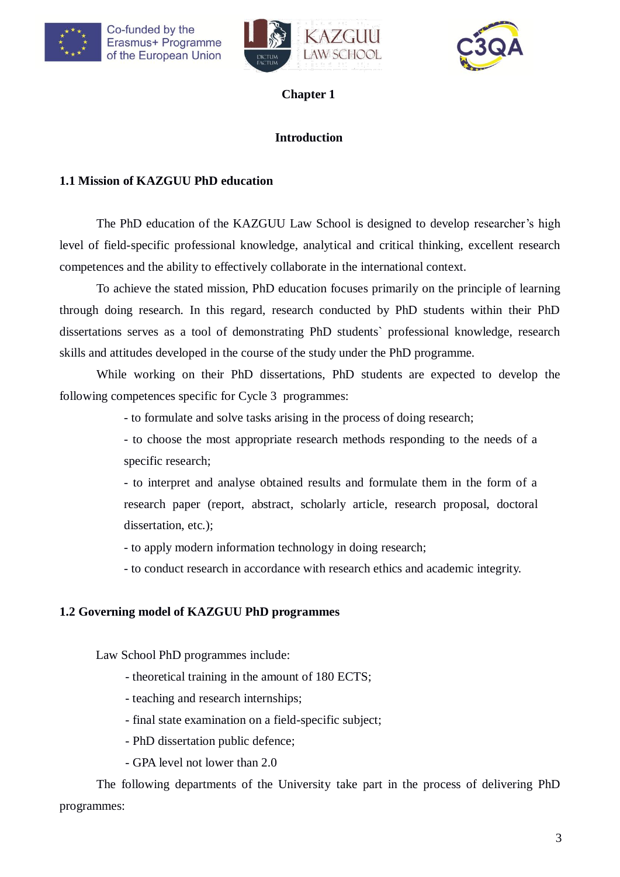





## **Introduction**

## **1.1 Mission of KAZGUU PhD education**

The PhD education of the KAZGUU Law School is designed to develop researcher's high level of field-specific professional knowledge, analytical and critical thinking, excellent research competences and the ability to effectively collaborate in the international context.

To achieve the stated mission, PhD education focuses primarily on the principle of learning through doing research. In this regard, research conducted by PhD students within their PhD dissertations serves as a tool of demonstrating PhD students` professional knowledge, research skills and attitudes developed in the course of the study under the PhD programme.

While working on their PhD dissertations, PhD students are expected to develop the following competences specific for Cycle 3 programmes:

- to formulate and solve tasks arising in the process of doing research;

- to choose the most appropriate research methods responding to the needs of a specific research;

- to interpret and analyse obtained results and formulate them in the form of a research paper (report, abstract, scholarly article, research proposal, doctoral dissertation, etc.);

- to apply modern information technology in doing research;

- to conduct research in accordance with research ethics and academic integrity.

## **1.2 Governing model of KAZGUU PhD programmes**

Law School PhD programmes include:

- theoretical training in the amount of 180 ECTS;
- teaching and research internships;
- final state examination on a field-specific subject;
- PhD dissertation public defence;
- GPA level not lower than 2.0

The following departments of the University take part in the process of delivering PhD programmes: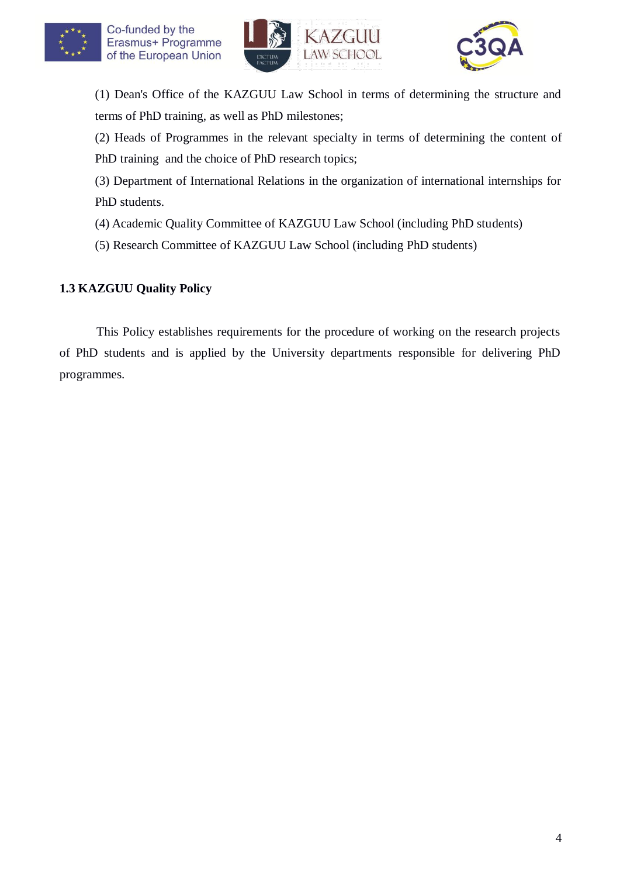





(1) Dean's Office of the KAZGUU Law School in terms of determining the structure and terms of PhD training, as well as PhD milestones;

(2) Heads of Programmes in the relevant specialty in terms of determining the content of PhD training and the choice of PhD research topics;

(3) Department of International Relations in the organization of international internships for PhD students.

- (4) Academic Quality Committee of KAZGUU Law School (including PhD students)
- (5) Research Committee of KAZGUU Law School (including PhD students)

# **1.3 KAZGUU Quality Policy**

This Policy establishes requirements for the procedure of working on the research projects of PhD students and is applied by the University departments responsible for delivering PhD programmes.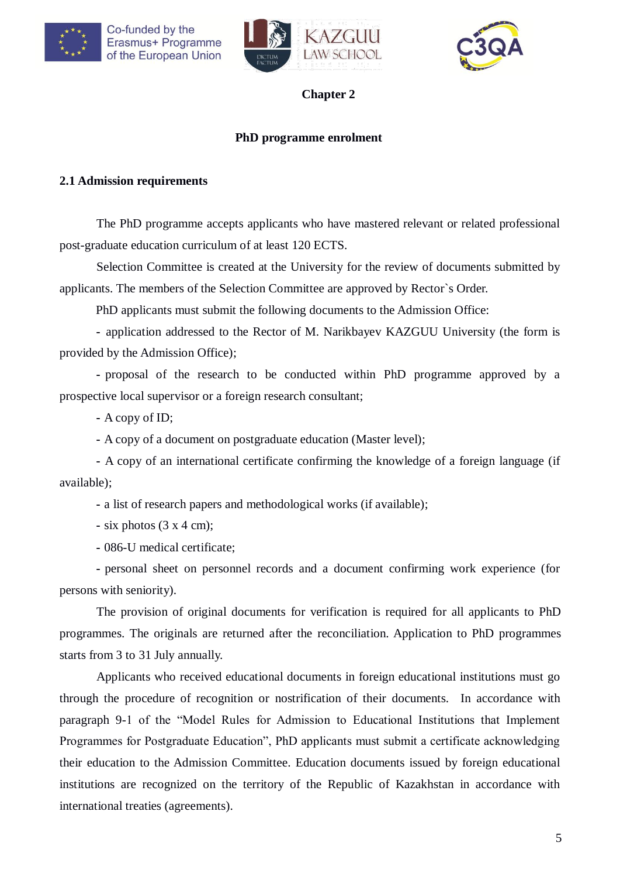





### **PhD programme enrolment**

### **2.1 Admission requirements**

The PhD programme accepts applicants who have mastered relevant or related professional post-graduate education curriculum of at least 120 ECTS.

Selection Committee is created at the University for the review of documents submitted by applicants. The members of the Selection Committee are approved by Rector`s Order.

PhD applicants must submit the following documents to the Admission Office:

**-** application addressed to the Rector of M. Narikbayev KAZGUU University (the form is provided by the Admission Office);

**-** proposal of the research to be conducted within PhD programme approved by a prospective local supervisor or a foreign research consultant;

- **-** A copy of ID;
- **-** A copy of a document on postgraduate education (Master level);

**-** A copy of an international certificate confirming the knowledge of a foreign language (if available);

**-** a list of research papers and methodological works (if available);

**-** six photos (3 x 4 cm);

**-** 086-U medical certificate;

**-** personal sheet on personnel records and a document confirming work experience (for persons with seniority).

The provision of original documents for verification is required for all applicants to PhD programmes. The originals are returned after the reconciliation. Application to PhD programmes starts from 3 to 31 July annually.

Applicants who received educational documents in foreign educational institutions must go through the procedure of recognition or nostrification of their documents. In accordance with paragraph 9-1 of the "Model Rules for Admission to Educational Institutions that Implement Programmes for Postgraduate Education", PhD applicants must submit a certificate acknowledging their education to the Admission Committee. Education documents issued by foreign educational institutions are recognized on the territory of the Republic of Kazakhstan in accordance with international treaties (agreements).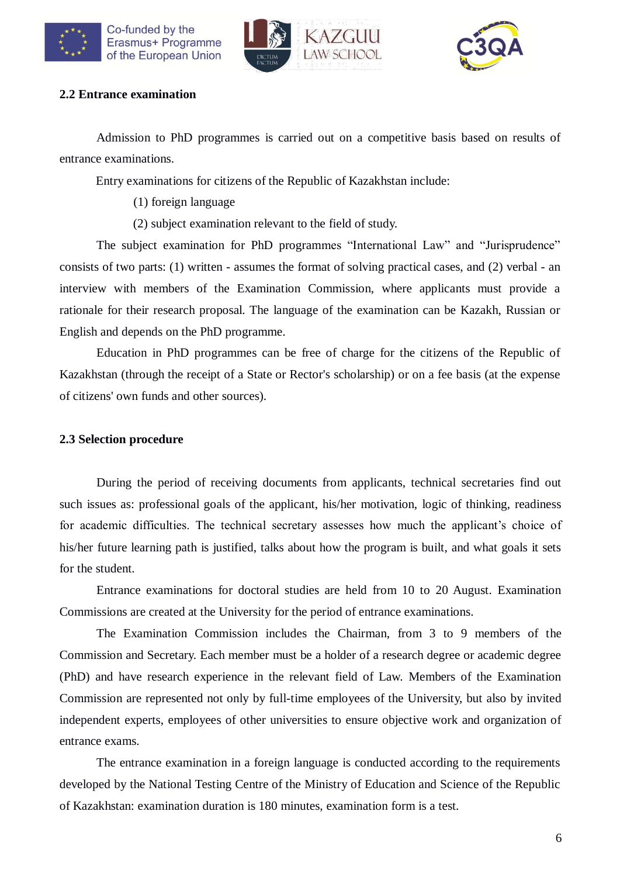



## **2.2 Entrance examination**

Admission to PhD programmes is carried out on a competitive basis based on results of entrance examinations.

Entry examinations for citizens of the Republic of Kazakhstan include:

(1) foreign language

(2) subject examination relevant to the field of study.

The subject examination for PhD programmes "International Law" and "Jurisprudence" consists of two parts: (1) written - assumes the format of solving practical cases, and (2) verbal - an interview with members of the Examination Commission, where applicants must provide a rationale for their research proposal. The language of the examination can be Kazakh, Russian or English and depends on the PhD programme.

Education in PhD programmes can be free of charge for the citizens of the Republic of Kazakhstan (through the receipt of a State or Rector's scholarship) or on a fee basis (at the expense of citizens' own funds and other sources).

## **2.3 Selection procedure**

During the period of receiving documents from applicants, technical secretaries find out such issues as: professional goals of the applicant, his/her motivation, logic of thinking, readiness for academic difficulties. The technical secretary assesses how much the applicant's choice of his/her future learning path is justified, talks about how the program is built, and what goals it sets for the student.

Entrance examinations for doctoral studies are held from 10 to 20 August. Examination Commissions are created at the University for the period of entrance examinations.

The Examination Commission includes the Chairman, from 3 to 9 members of the Commission and Secretary. Each member must be a holder of a research degree or academic degree (PhD) and have research experience in the relevant field of Law. Members of the Examination Commission are represented not only by full-time employees of the University, but also by invited independent experts, employees of other universities to ensure objective work and organization of entrance exams.

The entrance examination in a foreign language is conducted according to the requirements developed by the National Testing Centre of the Ministry of Education and Science of the Republic of Kazakhstan: examination duration is 180 minutes, examination form is a test.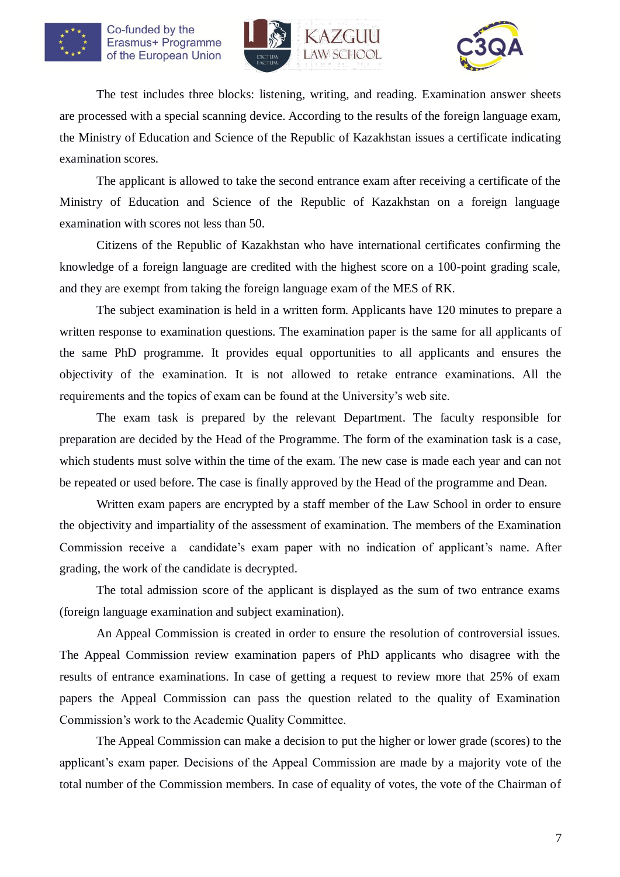





The test includes three blocks: listening, writing, and reading. Examination answer sheets are processed with a special scanning device. According to the results of the foreign language exam, the Ministry of Education and Science of the Republic of Kazakhstan issues a certificate indicating examination scores.

The applicant is allowed to take the second entrance exam after receiving a certificate of the Ministry of Education and Science of the Republic of Kazakhstan on a foreign language examination with scores not less than 50.

Citizens of the Republic of Kazakhstan who have international certificates confirming the knowledge of a foreign language are credited with the highest score on a 100-point grading scale, and they are exempt from taking the foreign language exam of the MES of RK.

The subject examination is held in a written form. Applicants have 120 minutes to prepare a written response to examination questions. The examination paper is the same for all applicants of the same PhD programme. It provides equal opportunities to all applicants and ensures the objectivity of the examination. It is not allowed to retake entrance examinations. All the requirements and the topics of exam can be found at the University's web site.

The exam task is prepared by the relevant Department. The faculty responsible for preparation are decided by the Head of the Programme. The form of the examination task is a case, which students must solve within the time of the exam. The new case is made each year and can not be repeated or used before. The case is finally approved by the Head of the programme and Dean.

Written exam papers are encrypted by a staff member of the Law School in order to ensure the objectivity and impartiality of the assessment of examination. The members of the Examination Commission receive a candidate's exam paper with no indication of applicant's name. After grading, the work of the candidate is decrypted.

The total admission score of the applicant is displayed as the sum of two entrance exams (foreign language examination and subject examination).

An Appeal Commission is created in order to ensure the resolution of controversial issues. The Appeal Commission review examination papers of PhD applicants who disagree with the results of entrance examinations. In case of getting a request to review more that 25% of exam papers the Appeal Commission can pass the question related to the quality of Examination Commission's work to the Academic Quality Committee.

The Appeal Commission can make a decision to put the higher or lower grade (scores) to the applicant's exam paper. Decisions of the Appeal Commission are made by a majority vote of the total number of the Commission members. In case of equality of votes, the vote of the Chairman of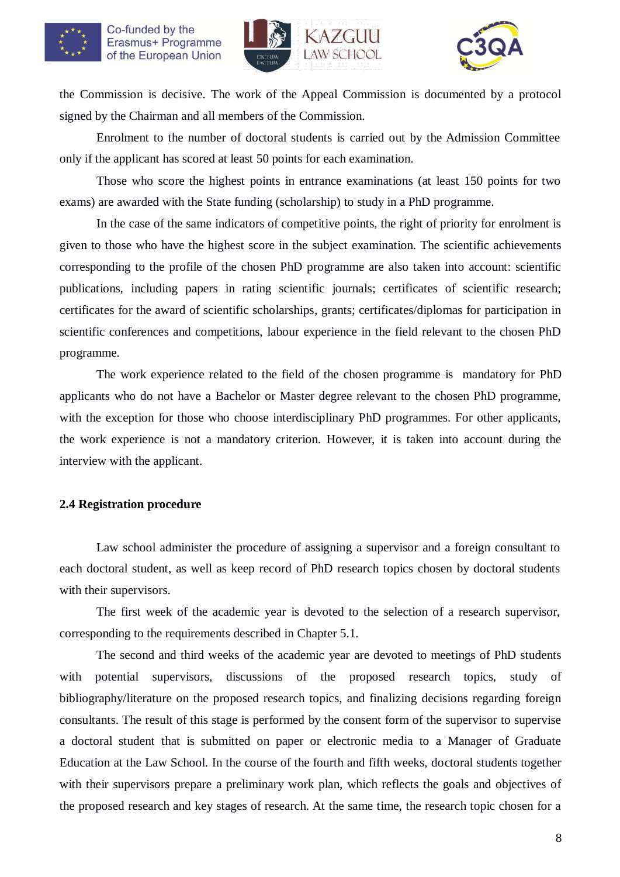



the Commission is decisive. The work of the Appeal Commission is documented by a protocol signed by the Chairman and all members of the Commission.

Enrolment to the number of doctoral students is carried out by the Admission Committee only if the applicant has scored at least 50 points for each examination.

Those who score the highest points in entrance examinations (at least 150 points for two exams) are awarded with the State funding (scholarship) to study in a PhD programme.

In the case of the same indicators of competitive points, the right of priority for enrolment is given to those who have the highest score in the subject examination. The scientific achievements corresponding to the profile of the chosen PhD programme are also taken into account: scientific publications, including papers in rating scientific journals; certificates of scientific research; certificates for the award of scientific scholarships, grants; certificates/diplomas for participation in scientific conferences and competitions, labour experience in the field relevant to the chosen PhD programme.

The work experience related to the field of the chosen programme is mandatory for PhD applicants who do not have a Bachelor or Master degree relevant to the chosen PhD programme, with the exception for those who choose interdisciplinary PhD programmes. For other applicants, the work experience is not a mandatory criterion. However, it is taken into account during the interview with the applicant.

### **2.4 Registration procedure**

Law school administer the procedure of assigning a supervisor and a foreign consultant to each doctoral student, as well as keep record of PhD research topics chosen by doctoral students with their supervisors.

The first week of the academic year is devoted to the selection of a research supervisor, corresponding to the requirements described in Chapter 5.1.

The second and third weeks of the academic year are devoted to meetings of PhD students with potential supervisors, discussions of the proposed research topics, study of bibliography/literature on the proposed research topics, and finalizing decisions regarding foreign consultants. The result of this stage is performed by the consent form of the supervisor to supervise a doctoral student that is submitted on paper or electronic media to a Manager of Graduate Education at the Law School. In the course of the fourth and fifth weeks, doctoral students together with their supervisors prepare a preliminary work plan, which reflects the goals and objectives of the proposed research and key stages of research. At the same time, the research topic chosen for a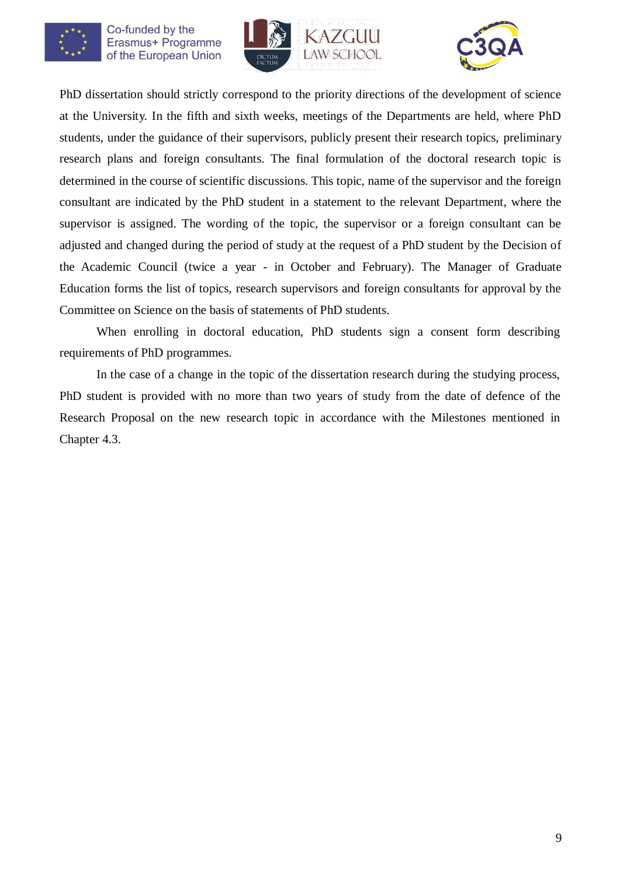





PhD dissertation should strictly correspond to the priority directions of the development of science at the University. In the fifth and sixth weeks, meetings of the Departments are held, where PhD students, under the guidance of their supervisors, publicly present their research topics, preliminary research plans and foreign consultants. The final formulation of the doctoral research topic is determined in the course of scientific discussions. This topic, name of the supervisor and the foreign consultant are indicated by the PhD student in a statement to the relevant Department, where the supervisor is assigned. The wording of the topic, the supervisor or a foreign consultant can be adjusted and changed during the period of study at the request of a PhD student by the Decision of the Academic Council (twice a year - in October and February). The Manager of Graduate Education forms the list of topics, research supervisors and foreign consultants for approval by the Committee on Science on the basis of statements of PhD students.

When enrolling in doctoral education, PhD students sign a consent form describing requirements of PhD programmes.

In the case of a change in the topic of the dissertation research during the studying process, PhD student is provided with no more than two years of study from the date of defence of the Research Proposal on the new research topic in accordance with the Milestones mentioned in Chapter 4.3.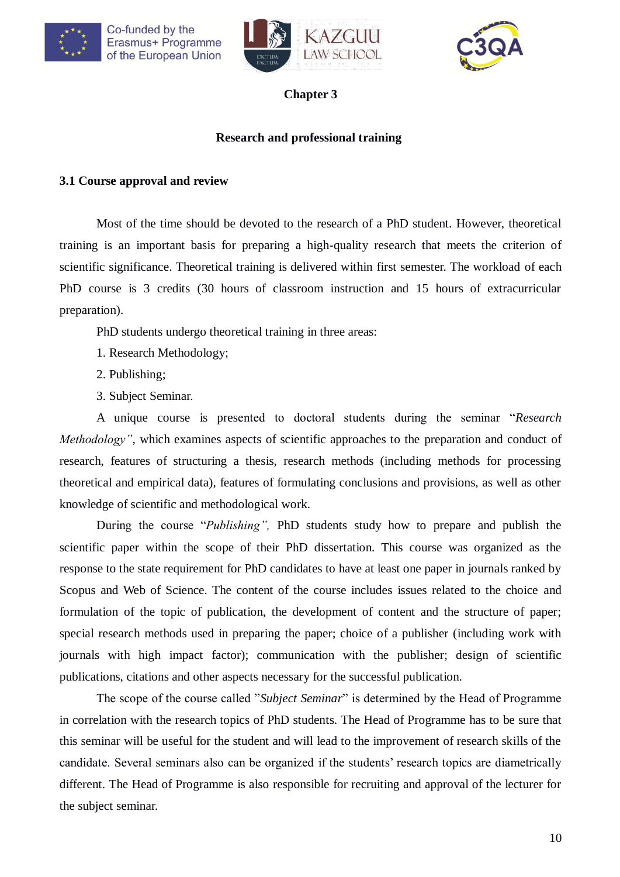





## **Research and professional training**

## **3.1 Course approval and review**

Most of the time should be devoted to the research of a PhD student. However, theoretical training is an important basis for preparing a high-quality research that meets the criterion of scientific significance. Theoretical training is delivered within first semester. The workload of each PhD course is 3 credits (30 hours of classroom instruction and 15 hours of extracurricular preparation).

PhD students undergo theoretical training in three areas:

- 1. Research Methodology;
- 2. Publishing;
- 3. Subject Seminar.

A unique course is presented to doctoral students during the seminar "*Research Methodology*", which examines aspects of scientific approaches to the preparation and conduct of research, features of structuring a thesis, research methods (including methods for processing theoretical and empirical data), features of formulating conclusions and provisions, as well as other knowledge of scientific and methodological work.

During the course "*Publishing",* PhD students study how to prepare and publish the scientific paper within the scope of their PhD dissertation. This course was organized as the response to the state requirement for PhD candidates to have at least one paper in journals ranked by Scopus and Web of Science. The content of the course includes issues related to the choice and formulation of the topic of publication, the development of content and the structure of paper; special research methods used in preparing the paper; choice of a publisher (including work with journals with high impact factor); communication with the publisher; design of scientific publications, citations and other aspects necessary for the successful publication.

The scope of the course called "*Subject Seminar*" is determined by the Head of Programme in correlation with the research topics of PhD students. The Head of Programme has to be sure that this seminar will be useful for the student and will lead to the improvement of research skills of the candidate. Several seminars also can be organized if the students' research topics are diametrically different. The Head of Programme is also responsible for recruiting and approval of the lecturer for the subject seminar.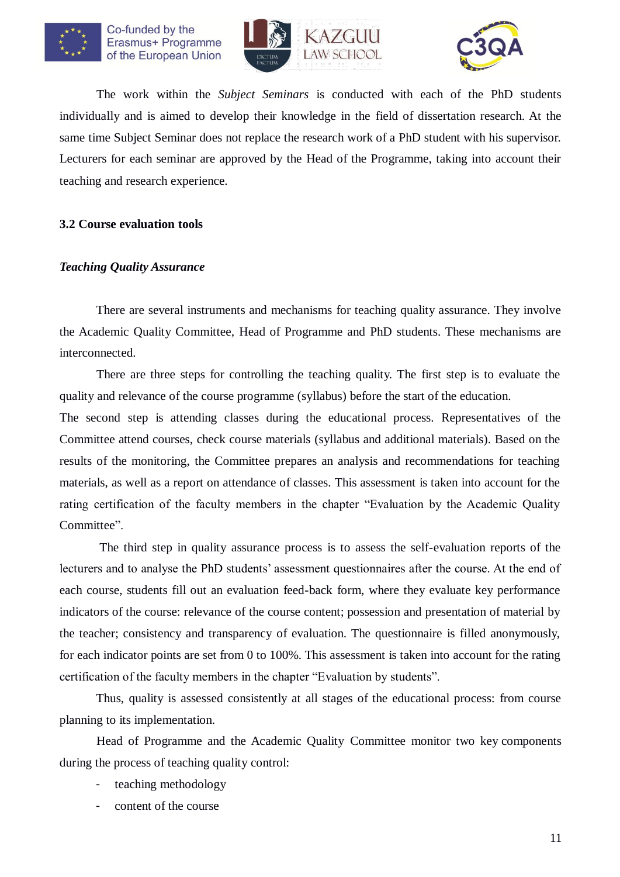





The work within the *Subject Seminars* is conducted with each of the PhD students individually and is aimed to develop their knowledge in the field of dissertation research. At the same time Subject Seminar does not replace the research work of a PhD student with his supervisor. Lecturers for each seminar are approved by the Head of the Programme, taking into account their teaching and research experience.

### **3.2 Course evaluation tools**

### *Teaching Quality Assurance*

There are several instruments and mechanisms for teaching quality assurance. They involve the Academic Quality Committee, Head of Programme and PhD students. These mechanisms are interconnected.

There are three steps for controlling the teaching quality. The first step is to evaluate the quality and relevance of the course programme (syllabus) before the start of the education.

The second step is attending classes during the educational process. Representatives of the Committee attend courses, check course materials (syllabus and additional materials). Based on the results of the monitoring, the Committee prepares an analysis and recommendations for teaching materials, as well as a report on attendance of classes. This assessment is taken into account for the rating certification of the faculty members in the chapter "Evaluation by the Academic Quality Committee".

The third step in quality assurance process is to assess the self-evaluation reports of the lecturers and to analyse the PhD students' assessment questionnaires after the course. At the end of each course, students fill out an evaluation feed-back form, where they evaluate key performance indicators of the course: relevance of the course content; possession and presentation of material by the teacher; consistency and transparency of evaluation. The questionnaire is filled anonymously, for each indicator points are set from 0 to 100%. This assessment is taken into account for the rating certification of the faculty members in the chapter "Evaluation by students".

Thus, quality is assessed consistently at all stages of the educational process: from course planning to its implementation.

Head of Programme and the Academic Quality Committee monitor two key components during the process of teaching quality control:

- teaching methodology
- content of the course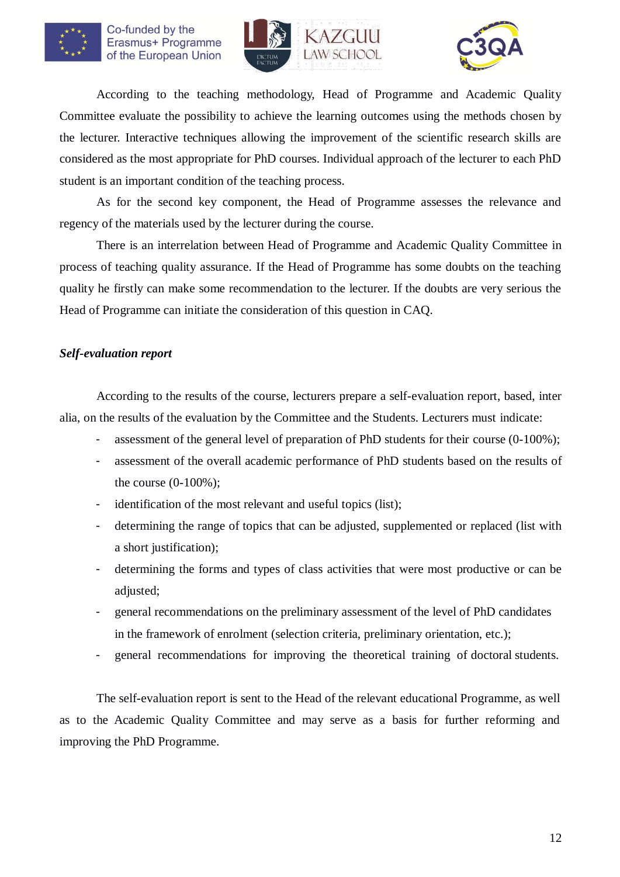





According to the teaching methodology, Head of Programme and Academic Quality Committee evaluate the possibility to achieve the learning outcomes using the methods chosen by the lecturer. Interactive techniques allowing the improvement of the scientific research skills are considered as the most appropriate for PhD courses. Individual approach of the lecturer to each PhD student is an important condition of the teaching process.

As for the second key component, the Head of Programme assesses the relevance and regency of the materials used by the lecturer during the course.

There is an interrelation between Head of Programme and Academic Quality Committee in process of teaching quality assurance. If the Head of Programme has some doubts on the teaching quality he firstly can make some recommendation to the lecturer. If the doubts are very serious the Head of Programme can initiate the consideration of this question in CAQ.

### *Self-evaluation report*

According to the results of the course, lecturers prepare a self-evaluation report, based, inter alia, on the results of the evaluation by the Committee and the Students. Lecturers must indicate:

- assessment of the general level of preparation of PhD students for their course (0-100%);
- assessment of the overall academic performance of PhD students based on the results of the course (0-100%);
- identification of the most relevant and useful topics (list);
- determining the range of topics that can be adjusted, supplemented or replaced (list with a short justification);
- determining the forms and types of class activities that were most productive or can be adjusted:
- general recommendations on the preliminary assessment of the level of PhD candidates in the framework of enrolment (selection criteria, preliminary orientation, etc.);
- general recommendations for improving the theoretical training of doctoral students.

The self-evaluation report is sent to the Head of the relevant educational Programme, as well as to the Academic Quality Committee and may serve as a basis for further reforming and improving the PhD Programme.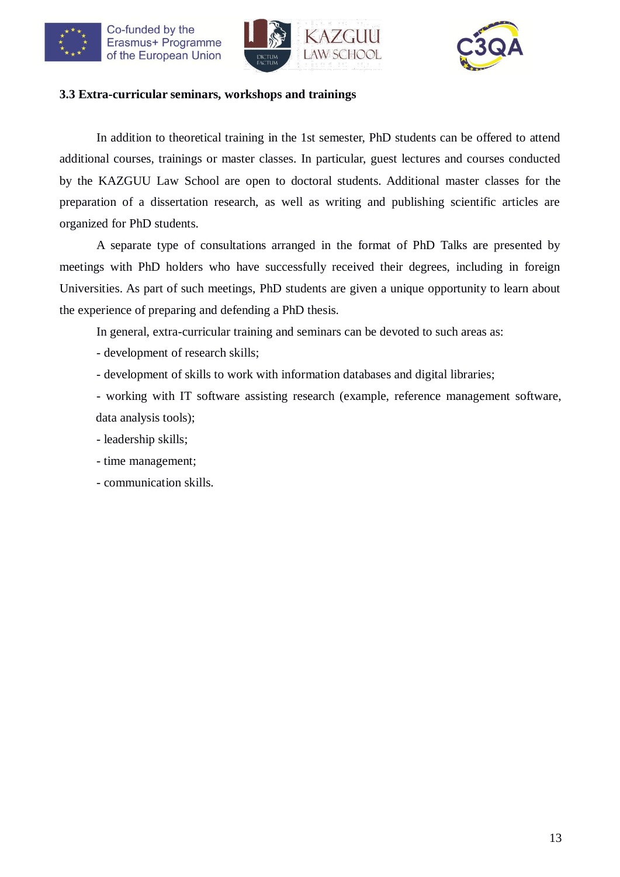





### **3.3 Extra-curricular seminars, workshops and trainings**

In addition to theoretical training in the 1st semester, PhD students can be offered to attend additional courses, trainings or master classes. In particular, guest lectures and courses conducted by the KAZGUU Law School are open to doctoral students. Additional master classes for the preparation of a dissertation research, as well as writing and publishing scientific articles are organized for PhD students.

A separate type of consultations arranged in the format of PhD Talks are presented by meetings with PhD holders who have successfully received their degrees, including in foreign Universities. As part of such meetings, PhD students are given a unique opportunity to learn about the experience of preparing and defending a PhD thesis.

In general, extra-curricular training and seminars can be devoted to such areas as:

- development of research skills;

- development of skills to work with information databases and digital libraries;

- working with IT software assisting research (example, reference management software, data analysis tools);

- leadership skills;

- time management;

- communication skills.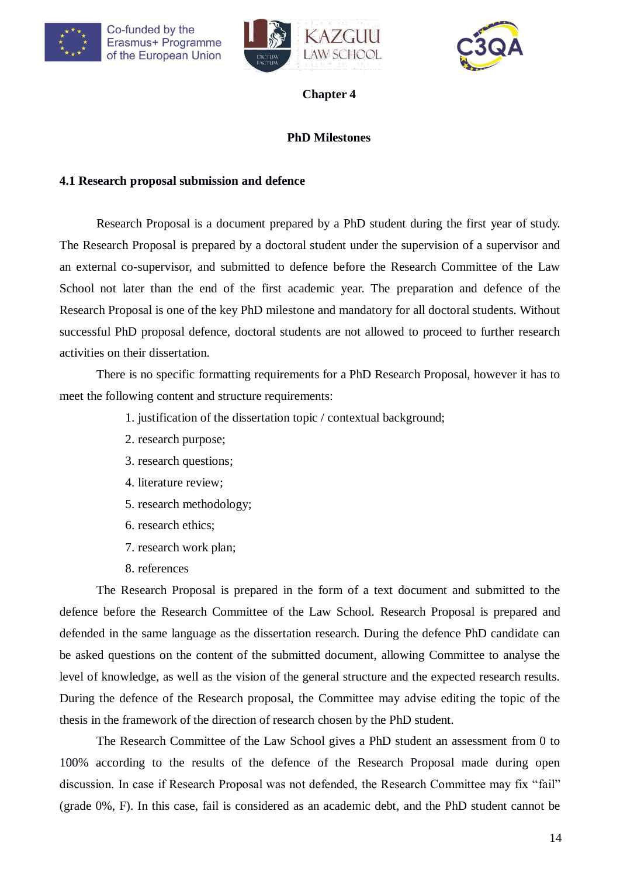





## **PhD Milestones**

### **4.1 Research proposal submission and defence**

Research Proposal is a document prepared by a PhD student during the first year of study. The Research Proposal is prepared by a doctoral student under the supervision of a supervisor and an external co-supervisor, and submitted to defence before the Research Committee of the Law School not later than the end of the first academic year. The preparation and defence of the Research Proposal is one of the key PhD milestone and mandatory for all doctoral students. Without successful PhD proposal defence, doctoral students are not allowed to proceed to further research activities on their dissertation.

There is no specific formatting requirements for a PhD Research Proposal, however it has to meet the following content and structure requirements:

- 1. justification of the dissertation topic / contextual background;
- 2. research purpose;
- 3. research questions;
- 4. literature review;
- 5. research methodology;
- 6. research ethics;
- 7. research work plan;
- 8. references

The Research Proposal is prepared in the form of a text document and submitted to the defence before the Research Committee of the Law School. Research Proposal is prepared and defended in the same language as the dissertation research. During the defence PhD candidate can be asked questions on the content of the submitted document, allowing Committee to analyse the level of knowledge, as well as the vision of the general structure and the expected research results. During the defence of the Research proposal, the Committee may advise editing the topic of the thesis in the framework of the direction of research chosen by the PhD student.

The Research Committee of the Law School gives a PhD student an assessment from 0 to 100% according to the results of the defence of the Research Proposal made during open discussion. In case if Research Proposal was not defended, the Research Committee may fix "fail" (grade 0%, F). In this case, fail is considered as an academic debt, and the PhD student cannot be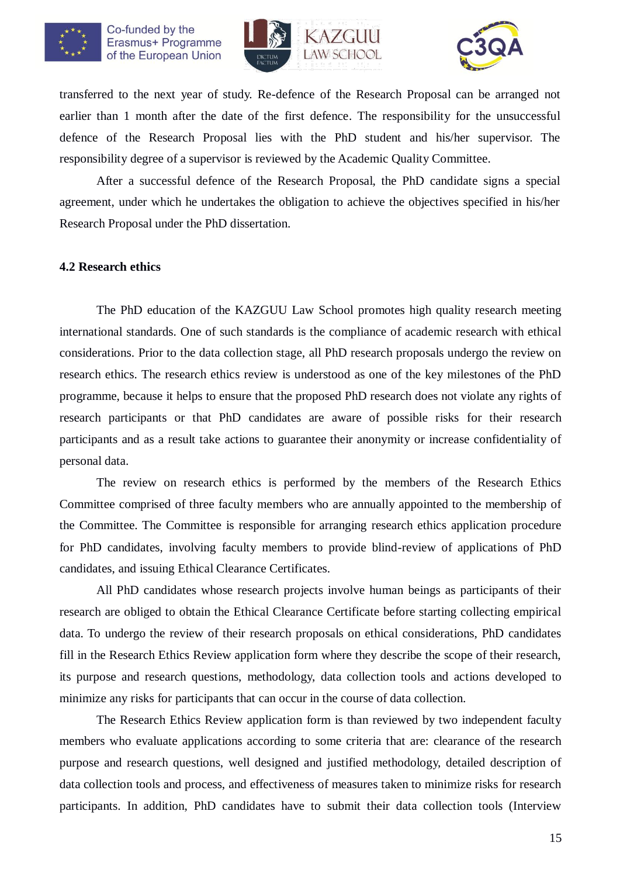





transferred to the next year of study. Re-defence of the Research Proposal can be arranged not earlier than 1 month after the date of the first defence. The responsibility for the unsuccessful defence of the Research Proposal lies with the PhD student and his/her supervisor. The responsibility degree of a supervisor is reviewed by the Academic Quality Committee.

After a successful defence of the Research Proposal, the PhD candidate signs a special agreement, under which he undertakes the obligation to achieve the objectives specified in his/her Research Proposal under the PhD dissertation.

### **4.2 Research ethics**

The PhD education of the KAZGUU Law School promotes high quality research meeting international standards. One of such standards is the compliance of academic research with ethical considerations. Prior to the data collection stage, all PhD research proposals undergo the review on research ethics. The research ethics review is understood as one of the key milestones of the PhD programme, because it helps to ensure that the proposed PhD research does not violate any rights of research participants or that PhD candidates are aware of possible risks for their research participants and as a result take actions to guarantee their anonymity or increase confidentiality of personal data.

The review on research ethics is performed by the members of the Research Ethics Committee comprised of three faculty members who are annually appointed to the membership of the Committee. The Committee is responsible for arranging research ethics application procedure for PhD candidates, involving faculty members to provide blind-review of applications of PhD candidates, and issuing Ethical Clearance Certificates.

All PhD candidates whose research projects involve human beings as participants of their research are obliged to obtain the Ethical Clearance Certificate before starting collecting empirical data. To undergo the review of their research proposals on ethical considerations, PhD candidates fill in the Research Ethics Review application form where they describe the scope of their research, its purpose and research questions, methodology, data collection tools and actions developed to minimize any risks for participants that can occur in the course of data collection.

The Research Ethics Review application form is than reviewed by two independent faculty members who evaluate applications according to some criteria that are: clearance of the research purpose and research questions, well designed and justified methodology, detailed description of data collection tools and process, and effectiveness of measures taken to minimize risks for research participants. In addition, PhD candidates have to submit their data collection tools (Interview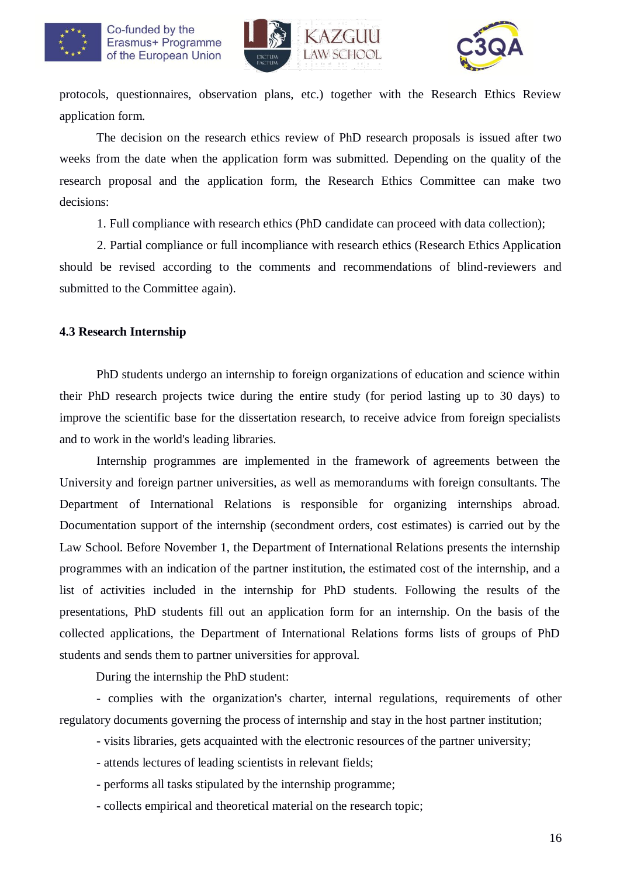



protocols, questionnaires, observation plans, etc.) together with the Research Ethics Review application form.

The decision on the research ethics review of PhD research proposals is issued after two weeks from the date when the application form was submitted. Depending on the quality of the research proposal and the application form, the Research Ethics Committee can make two decisions:

1. Full compliance with research ethics (PhD candidate can proceed with data collection);

2. Partial compliance or full incompliance with research ethics (Research Ethics Application should be revised according to the comments and recommendations of blind-reviewers and submitted to the Committee again).

### **4.3 Research Internship**

PhD students undergo an internship to foreign organizations of education and science within their PhD research projects twice during the entire study (for period lasting up to 30 days) to improve the scientific base for the dissertation research, to receive advice from foreign specialists and to work in the world's leading libraries.

Internship programmes are implemented in the framework of agreements between the University and foreign partner universities, as well as memorandums with foreign consultants. The Department of International Relations is responsible for organizing internships abroad. Documentation support of the internship (secondment orders, cost estimates) is carried out by the Law School. Before November 1, the Department of International Relations presents the internship programmes with an indication of the partner institution, the estimated cost of the internship, and a list of activities included in the internship for PhD students. Following the results of the presentations, PhD students fill out an application form for an internship. On the basis of the collected applications, the Department of International Relations forms lists of groups of PhD students and sends them to partner universities for approval.

During the internship the PhD student:

- complies with the organization's charter, internal regulations, requirements of other regulatory documents governing the process of internship and stay in the host partner institution;

- visits libraries, gets acquainted with the electronic resources of the partner university;

- attends lectures of leading scientists in relevant fields;

- performs all tasks stipulated by the internship programme;

- collects empirical and theoretical material on the research topic;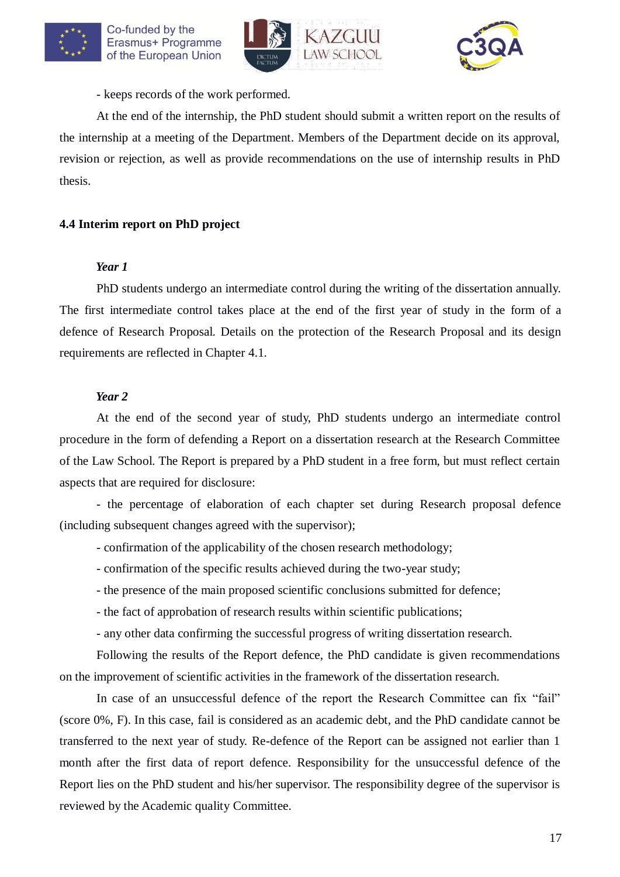





- keeps records of the work performed.

At the end of the internship, the PhD student should submit a written report on the results of the internship at a meeting of the Department. Members of the Department decide on its approval, revision or rejection, as well as provide recommendations on the use of internship results in PhD thesis.

## **4.4 Interim report on PhD project**

### *Year 1*

PhD students undergo an intermediate control during the writing of the dissertation annually. The first intermediate control takes place at the end of the first year of study in the form of a defence of Research Proposal. Details on the protection of the Research Proposal and its design requirements are reflected in Chapter 4.1.

### *Year 2*

At the end of the second year of study, PhD students undergo an intermediate control procedure in the form of defending a Report on a dissertation research at the Research Committee of the Law School. The Report is prepared by a PhD student in a free form, but must reflect certain aspects that are required for disclosure:

- the percentage of elaboration of each chapter set during Research proposal defence (including subsequent changes agreed with the supervisor);

- confirmation of the applicability of the chosen research methodology;
- confirmation of the specific results achieved during the two-year study;
- the presence of the main proposed scientific conclusions submitted for defence;
- the fact of approbation of research results within scientific publications;
- any other data confirming the successful progress of writing dissertation research.

Following the results of the Report defence, the PhD candidate is given recommendations on the improvement of scientific activities in the framework of the dissertation research.

In case of an unsuccessful defence of the report the Research Committee can fix "fail" (score 0%, F). In this case, fail is considered as an academic debt, and the PhD candidate cannot be transferred to the next year of study. Re-defence of the Report can be assigned not earlier than 1 month after the first data of report defence. Responsibility for the unsuccessful defence of the Report lies on the PhD student and his/her supervisor. The responsibility degree of the supervisor is reviewed by the Academic quality Committee.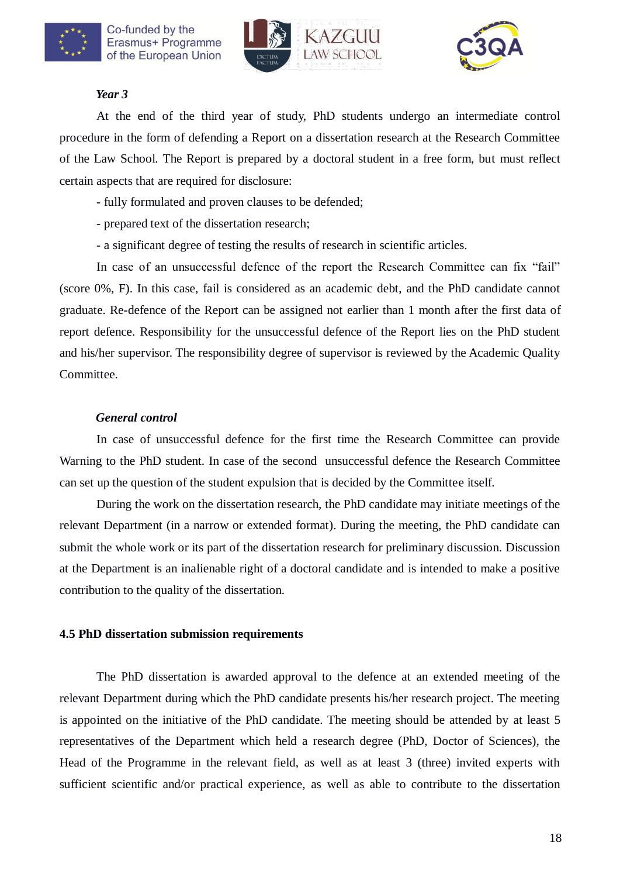





#### *Year 3*

At the end of the third year of study, PhD students undergo an intermediate control procedure in the form of defending a Report on a dissertation research at the Research Committee of the Law School. The Report is prepared by a doctoral student in a free form, but must reflect certain aspects that are required for disclosure:

- fully formulated and proven clauses to be defended;
- prepared text of the dissertation research;
- a significant degree of testing the results of research in scientific articles.

In case of an unsuccessful defence of the report the Research Committee can fix "fail" (score 0%, F). In this case, fail is considered as an academic debt, and the PhD candidate cannot graduate. Re-defence of the Report can be assigned not earlier than 1 month after the first data of report defence. Responsibility for the unsuccessful defence of the Report lies on the PhD student and his/her supervisor. The responsibility degree of supervisor is reviewed by the Academic Quality Committee.

### *General control*

In case of unsuccessful defence for the first time the Research Committee can provide Warning to the PhD student. In case of the second unsuccessful defence the Research Committee can set up the question of the student expulsion that is decided by the Committee itself.

During the work on the dissertation research, the PhD candidate may initiate meetings of the relevant Department (in a narrow or extended format). During the meeting, the PhD candidate can submit the whole work or its part of the dissertation research for preliminary discussion. Discussion at the Department is an inalienable right of a doctoral candidate and is intended to make a positive contribution to the quality of the dissertation.

### **4.5 PhD dissertation submission requirements**

The PhD dissertation is awarded approval to the defence at an extended meeting of the relevant Department during which the PhD candidate presents his/her research project. The meeting is appointed on the initiative of the PhD candidate. The meeting should be attended by at least 5 representatives of the Department which held a research degree (PhD, Doctor of Sciences), the Head of the Programme in the relevant field, as well as at least 3 (three) invited experts with sufficient scientific and/or practical experience, as well as able to contribute to the dissertation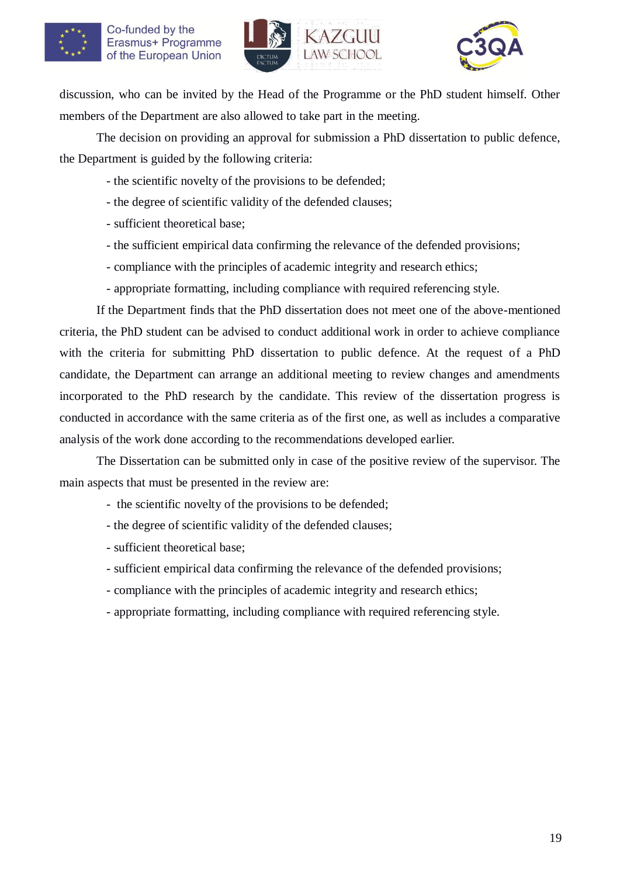



discussion, who can be invited by the Head of the Programme or the PhD student himself. Other members of the Department are also allowed to take part in the meeting.

The decision on providing an approval for submission a PhD dissertation to public defence, the Department is guided by the following criteria:

- the scientific novelty of the provisions to be defended;
- the degree of scientific validity of the defended clauses;
- sufficient theoretical base;
- the sufficient empirical data confirming the relevance of the defended provisions;
- compliance with the principles of academic integrity and research ethics;
- appropriate formatting, including compliance with required referencing style.

If the Department finds that the PhD dissertation does not meet one of the above-mentioned criteria, the PhD student can be advised to conduct additional work in order to achieve compliance with the criteria for submitting PhD dissertation to public defence. At the request of a PhD candidate, the Department can arrange an additional meeting to review changes and amendments incorporated to the PhD research by the candidate. This review of the dissertation progress is conducted in accordance with the same criteria as of the first one, as well as includes a comparative analysis of the work done according to the recommendations developed earlier.

The Dissertation can be submitted only in case of the positive review of the supervisor. The main aspects that must be presented in the review are:

- the scientific novelty of the provisions to be defended;
- the degree of scientific validity of the defended clauses;
- sufficient theoretical base;
- sufficient empirical data confirming the relevance of the defended provisions;
- compliance with the principles of academic integrity and research ethics;
- appropriate formatting, including compliance with required referencing style.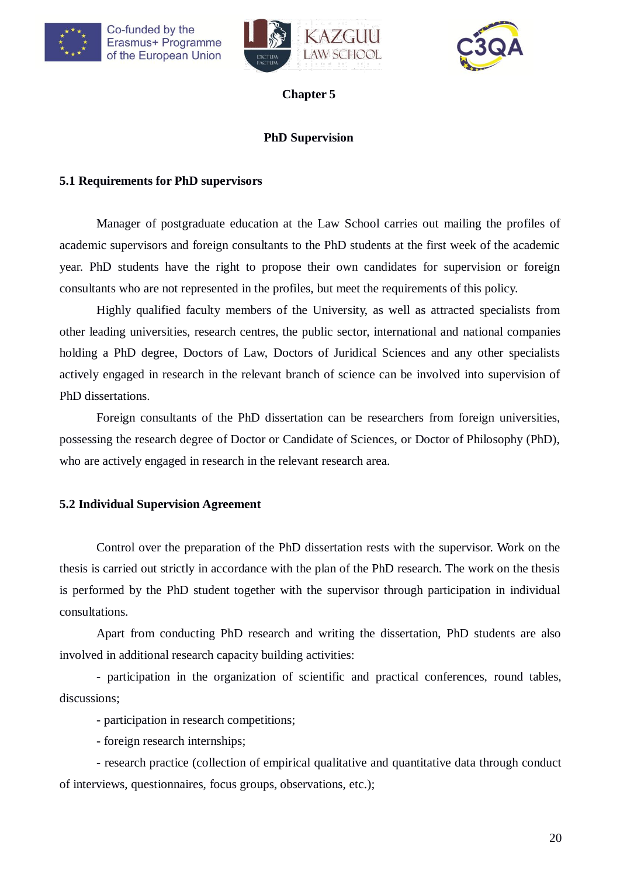





## **PhD Supervision**

### **5.1 Requirements for PhD supervisors**

Manager of postgraduate education at the Law School carries out mailing the profiles of academic supervisors and foreign consultants to the PhD students at the first week of the academic year. PhD students have the right to propose their own candidates for supervision or foreign consultants who are not represented in the profiles, but meet the requirements of this policy.

Highly qualified faculty members of the University, as well as attracted specialists from other leading universities, research centres, the public sector, international and national companies holding a PhD degree, Doctors of Law, Doctors of Juridical Sciences and any other specialists actively engaged in research in the relevant branch of science can be involved into supervision of PhD dissertations.

Foreign consultants of the PhD dissertation can be researchers from foreign universities, possessing the research degree of Doctor or Candidate of Sciences, or Doctor of Philosophy (PhD), who are actively engaged in research in the relevant research area.

## **5.2 Individual Supervision Agreement**

Control over the preparation of the PhD dissertation rests with the supervisor. Work on the thesis is carried out strictly in accordance with the plan of the PhD research. The work on the thesis is performed by the PhD student together with the supervisor through participation in individual consultations.

Apart from conducting PhD research and writing the dissertation, PhD students are also involved in additional research capacity building activities:

- participation in the organization of scientific and practical conferences, round tables, discussions;

- participation in research competitions;

- foreign research internships;

- research practice (collection of empirical qualitative and quantitative data through conduct of interviews, questionnaires, focus groups, observations, etc.);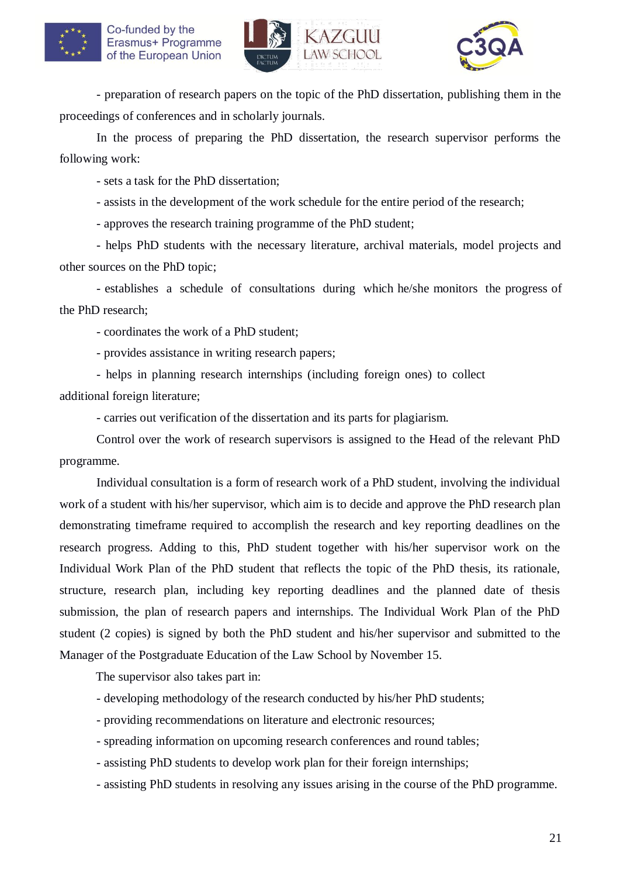





- preparation of research papers on the topic of the PhD dissertation, publishing them in the proceedings of conferences and in scholarly journals.

In the process of preparing the PhD dissertation, the research supervisor performs the following work:

- sets a task for the PhD dissertation;

- assists in the development of the work schedule for the entire period of the research;

- approves the research training programme of the PhD student;

- helps PhD students with the necessary literature, archival materials, model projects and other sources on the PhD topic;

- establishes a schedule of consultations during which he/she monitors the progress of the PhD research;

- coordinates the work of a PhD student;

- provides assistance in writing research papers;

- helps in planning research internships (including foreign ones) to collect

additional foreign literature;

- carries out verification of the dissertation and its parts for plagiarism.

Control over the work of research supervisors is assigned to the Head of the relevant PhD programme.

Individual consultation is a form of research work of a PhD student, involving the individual work of a student with his/her supervisor, which aim is to decide and approve the PhD research plan demonstrating timeframe required to accomplish the research and key reporting deadlines on the research progress. Adding to this, PhD student together with his/her supervisor work on the Individual Work Plan of the PhD student that reflects the topic of the PhD thesis, its rationale, structure, research plan, including key reporting deadlines and the planned date of thesis submission, the plan of research papers and internships. The Individual Work Plan of the PhD student (2 copies) is signed by both the PhD student and his/her supervisor and submitted to the Manager of the Postgraduate Education of the Law School by November 15.

The supervisor also takes part in:

- developing methodology of the research conducted by his/her PhD students;
- providing recommendations on literature and electronic resources;
- spreading information on upcoming research conferences and round tables;
- assisting PhD students to develop work plan for their foreign internships;
- assisting PhD students in resolving any issues arising in the course of the PhD programme.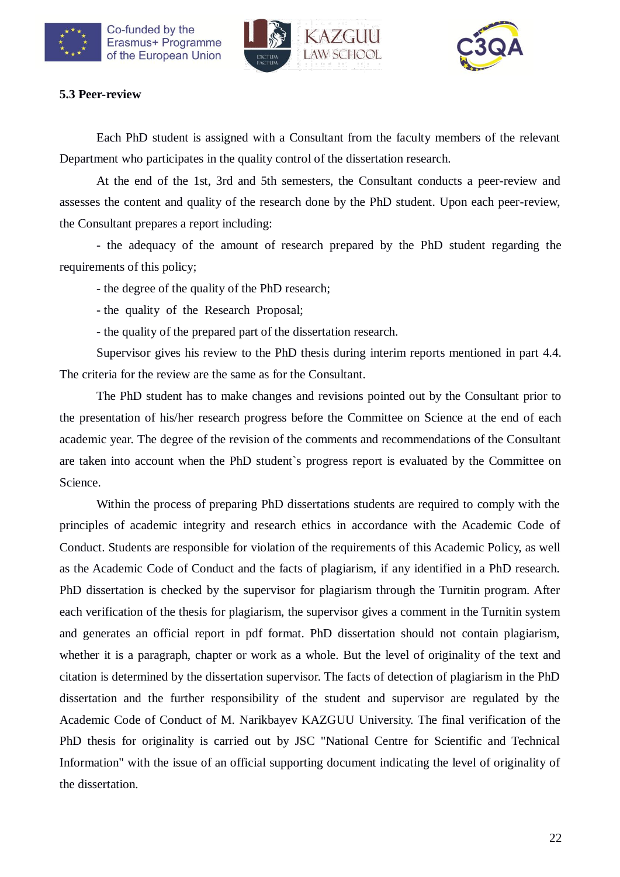





### **5.3 Peer-review**

Each PhD student is assigned with a Consultant from the faculty members of the relevant Department who participates in the quality control of the dissertation research.

At the end of the 1st, 3rd and 5th semesters, the Consultant conducts a peer-review and assesses the content and quality of the research done by the PhD student. Upon each peer-review, the Consultant prepares a report including:

- the adequacy of the amount of research prepared by the PhD student regarding the requirements of this policy;

- the degree of the quality of the PhD research;

- the quality of the Research Proposal;

- the quality of the prepared part of the dissertation research.

Supervisor gives his review to the PhD thesis during interim reports mentioned in part 4.4. The criteria for the review are the same as for the Consultant.

The PhD student has to make changes and revisions pointed out by the Consultant prior to the presentation of his/her research progress before the Committee on Science at the end of each academic year. The degree of the revision of the comments and recommendations of the Consultant are taken into account when the PhD student`s progress report is evaluated by the Committee on Science.

Within the process of preparing PhD dissertations students are required to comply with the principles of academic integrity and research ethics in accordance with the Academic Code of Conduct. Students are responsible for violation of the requirements of this Academic Policy, as well as the Academic Code of Conduct and the facts of plagiarism, if any identified in a PhD research. PhD dissertation is checked by the supervisor for plagiarism through the Turnitin program. After each verification of the thesis for plagiarism, the supervisor gives a comment in the Turnitin system and generates an official report in pdf format. PhD dissertation should not contain plagiarism, whether it is a paragraph, chapter or work as a whole. But the level of originality of the text and citation is determined by the dissertation supervisor. The facts of detection of plagiarism in the PhD dissertation and the further responsibility of the student and supervisor are regulated by the Academic Code of Conduct of M. Narikbayev KAZGUU University. The final verification of the PhD thesis for originality is carried out by JSC "National Centre for Scientific and Technical Information" with the issue of an official supporting document indicating the level of originality of the dissertation.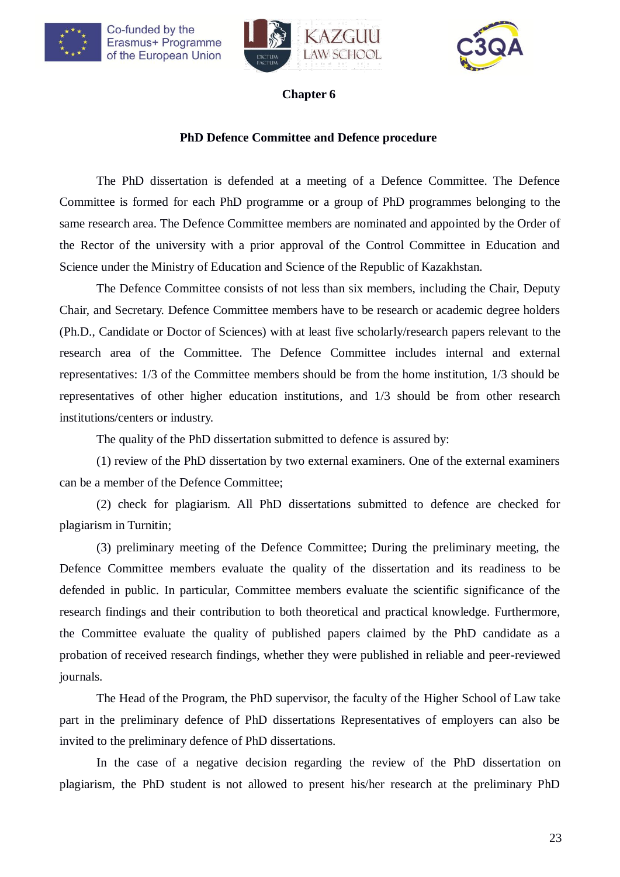



### **Chapter 6**

## **PhD Defence Committee and Defence procedure**

The PhD dissertation is defended at a meeting of a Defence Committee. The Defence Committee is formed for each PhD programme or a group of PhD programmes belonging to the same research area. The Defence Committee members are nominated and appointed by the Order of the Rector of the university with a prior approval of the Control Committee in Education and Science under the Ministry of Education and Science of the Republic of Kazakhstan.

The Defence Committee consists of not less than six members, including the Chair, Deputy Chair, and Secretary. Defence Committee members have to be research or academic degree holders (Ph.D., Candidate or Doctor of Sciences) with at least five scholarly/research papers relevant to the research area of the Committee. The Defence Committee includes internal and external representatives: 1/3 of the Committee members should be from the home institution, 1/3 should be representatives of other higher education institutions, and 1/3 should be from other research institutions/centers or industry.

The quality of the PhD dissertation submitted to defence is assured by:

(1) review of the PhD dissertation by two external examiners. One of the external examiners can be a member of the Defence Committee;

(2) check for plagiarism. All PhD dissertations submitted to defence are checked for plagiarism in Turnitin;

(3) preliminary meeting of the Defence Committee; During the preliminary meeting, the Defence Committee members evaluate the quality of the dissertation and its readiness to be defended in public. In particular, Committee members evaluate the scientific significance of the research findings and their contribution to both theoretical and practical knowledge. Furthermore, the Committee evaluate the quality of published papers claimed by the PhD candidate as a probation of received research findings, whether they were published in reliable and peer-reviewed journals.

The Head of the Program, the PhD supervisor, the faculty of the Higher School of Law take part in the preliminary defence of PhD dissertations Representatives of employers can also be invited to the preliminary defence of PhD dissertations.

In the case of a negative decision regarding the review of the PhD dissertation on plagiarism, the PhD student is not allowed to present his/her research at the preliminary PhD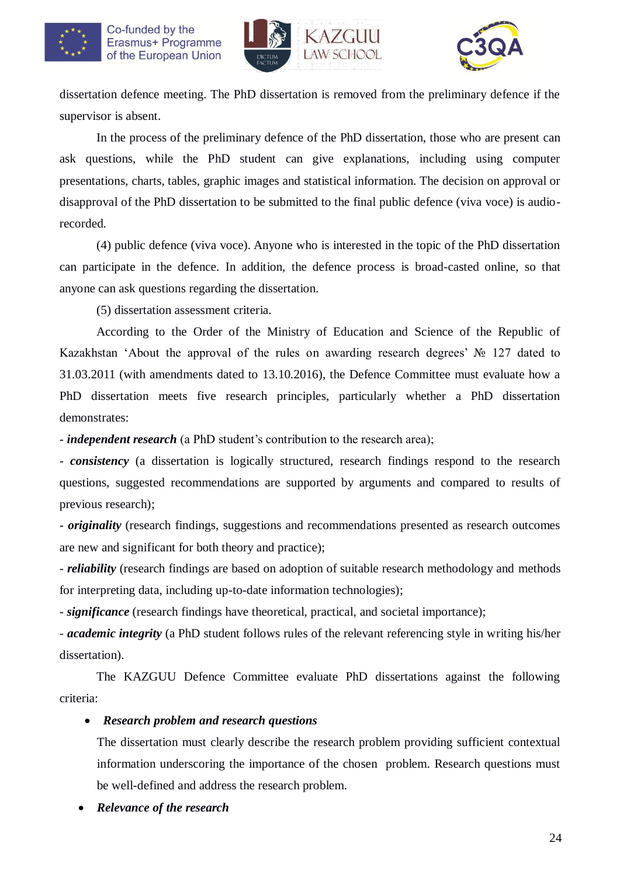



dissertation defence meeting. The PhD dissertation is removed from the preliminary defence if the supervisor is absent.

In the process of the preliminary defence of the PhD dissertation, those who are present can ask questions, while the PhD student can give explanations, including using computer presentations, charts, tables, graphic images and statistical information. The decision on approval or disapproval of the PhD dissertation to be submitted to the final public defence (viva voce) is audiorecorded.

(4) public defence (viva voce). Anyone who is interested in the topic of the PhD dissertation can participate in the defence. In addition, the defence process is broad-casted online, so that anyone can ask questions regarding the dissertation.

(5) dissertation assessment criteria.

According to the Order of the Ministry of Education and Science of the Republic of Kazakhstan 'About the approval of the rules on awarding research degrees' № 127 dated to 31.03.2011 (with amendments dated to 13.10.2016), the Defence Committee must evaluate how a PhD dissertation meets five research principles, particularly whether a PhD dissertation demonstrates:

- *independent research* (a PhD student's contribution to the research area);

- *consistency* (a dissertation is logically structured, research findings respond to the research questions, suggested recommendations are supported by arguments and compared to results of previous research);

- *originality* (research findings, suggestions and recommendations presented as research outcomes are new and significant for both theory and practice);

- *reliability* (research findings are based on adoption of suitable research methodology and methods for interpreting data, including up-to-date information technologies);

- *significance* (research findings have theoretical, practical, and societal importance);

- *academic integrity* (a PhD student follows rules of the relevant referencing style in writing his/her dissertation).

The KAZGUU Defence Committee evaluate PhD dissertations against the following criteria:

## *Research problem and research questions*

The dissertation must clearly describe the research problem providing sufficient contextual information underscoring the importance of the chosen problem. Research questions must be well-defined and address the research problem.

*Relevance of the research*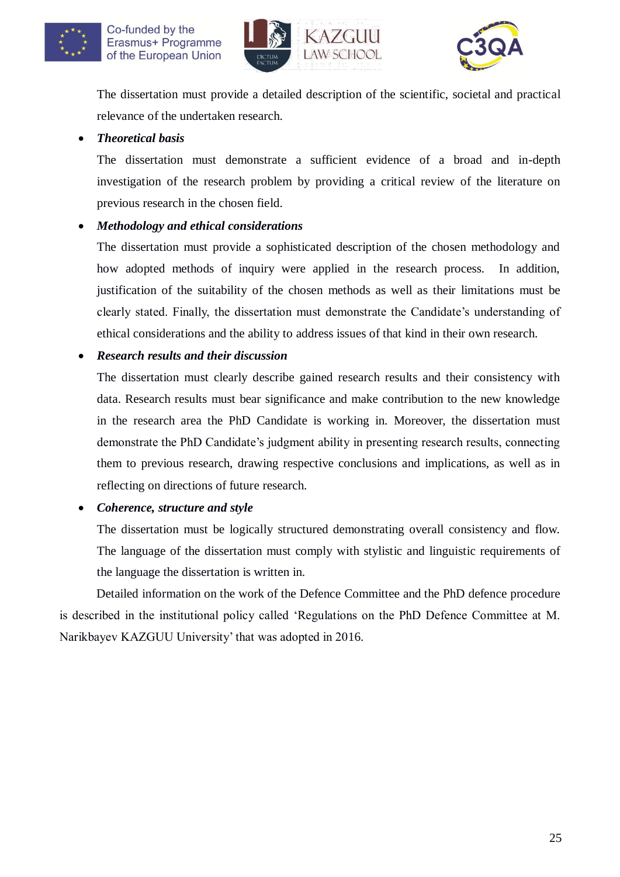





The dissertation must provide a detailed description of the scientific, societal and practical relevance of the undertaken research.

## *Theoretical basis*

The dissertation must demonstrate a sufficient evidence of a broad and in-depth investigation of the research problem by providing a critical review of the literature on previous research in the chosen field.

## *Methodology and ethical considerations*

The dissertation must provide a sophisticated description of the chosen methodology and how adopted methods of inquiry were applied in the research process. In addition, justification of the suitability of the chosen methods as well as their limitations must be clearly stated. Finally, the dissertation must demonstrate the Candidate's understanding of ethical considerations and the ability to address issues of that kind in their own research.

## *Research results and their discussion*

The dissertation must clearly describe gained research results and their consistency with data. Research results must bear significance and make contribution to the new knowledge in the research area the PhD Candidate is working in. Moreover, the dissertation must demonstrate the PhD Candidate's judgment ability in presenting research results, connecting them to previous research, drawing respective conclusions and implications, as well as in reflecting on directions of future research.

*Coherence, structure and style*

The dissertation must be logically structured demonstrating overall consistency and flow. The language of the dissertation must comply with stylistic and linguistic requirements of the language the dissertation is written in.

Detailed information on the work of the Defence Committee and the PhD defence procedure is described in the institutional policy called 'Regulations on the PhD Defence Committee at M. Narikbayev KAZGUU University' that was adopted in 2016.